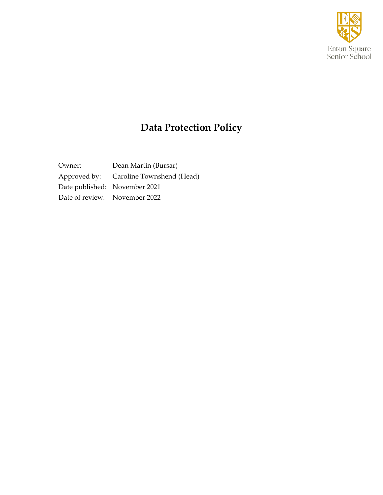

# **Data Protection Policy**

Owner: Dean Martin (Bursar) Approved by: Caroline Townshend (Head) Date published: November 2021 Date of review: November 2022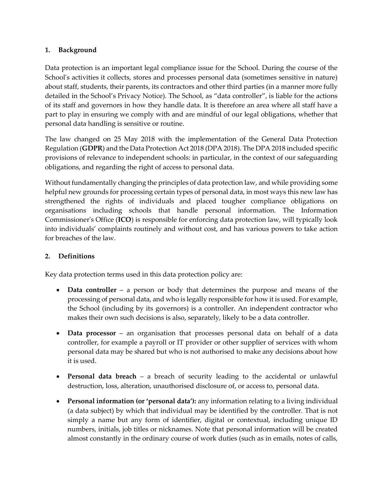#### **1. Background**

Data protection is an important legal compliance issue for the School. During the course of the School's activities it collects, stores and processes personal data (sometimes sensitive in nature) about staff, students, their parents, its contractors and other third parties (in a manner more fully detailed in the School's Privacy Notice). The School, as "data controller", is liable for the actions of its staff and governors in how they handle data. It is therefore an area where all staff have a part to play in ensuring we comply with and are mindful of our legal obligations, whether that personal data handling is sensitive or routine.

The law changed on 25 May 2018 with the implementation of the General Data Protection Regulation (**GDPR**) and the Data Protection Act 2018 (DPA 2018). The DPA 2018 included specific provisions of relevance to independent schools: in particular, in the context of our safeguarding obligations, and regarding the right of access to personal data.

Without fundamentally changing the principles of data protection law, and while providing some helpful new grounds for processing certain types of personal data, in most ways this new law has strengthened the rights of individuals and placed tougher compliance obligations on organisations including schools that handle personal information. The Information Commissioner's Office (**ICO**) is responsible for enforcing data protection law, will typically look into individuals' complaints routinely and without cost, and has various powers to take action for breaches of the law.

### **2. Definitions**

Key data protection terms used in this data protection policy are:

- **Data controller**  a person or body that determines the purpose and means of the processing of personal data, and who is legally responsible for how it is used. For example, the School (including by its governors) is a controller. An independent contractor who makes their own such decisions is also, separately, likely to be a data controller.
- **Data processor**  an organisation that processes personal data on behalf of a data controller, for example a payroll or IT provider or other supplier of services with whom personal data may be shared but who is not authorised to make any decisions about how it is used.
- **Personal data breach**  a breach of security leading to the accidental or unlawful destruction, loss, alteration, unauthorised disclosure of, or access to, personal data.
- **Personal information (or 'personal data'):** any information relating to a living individual (a data subject) by which that individual may be identified by the controller. That is not simply a name but any form of identifier, digital or contextual, including unique ID numbers, initials, job titles or nicknames. Note that personal information will be created almost constantly in the ordinary course of work duties (such as in emails, notes of calls,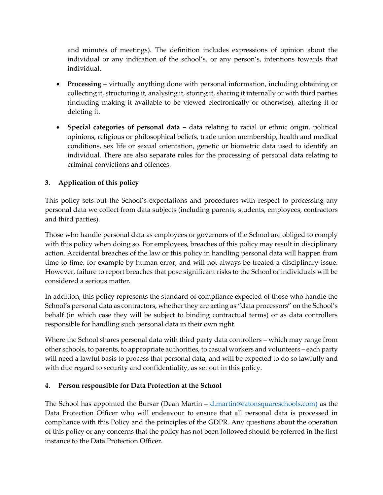and minutes of meetings). The definition includes expressions of opinion about the individual or any indication of the school's, or any person's, intentions towards that individual.

- **Processing**  virtually anything done with personal information, including obtaining or collecting it, structuring it, analysing it, storing it, sharing it internally or with third parties (including making it available to be viewed electronically or otherwise), altering it or deleting it.
- **Special categories of personal data –** data relating to racial or ethnic origin, political opinions, religious or philosophical beliefs, trade union membership, health and medical conditions, sex life or sexual orientation, genetic or biometric data used to identify an individual. There are also separate rules for the processing of personal data relating to criminal convictions and offences.

## **3. Application of this policy**

This policy sets out the School's expectations and procedures with respect to processing any personal data we collect from data subjects (including parents, students, employees, contractors and third parties).

Those who handle personal data as employees or governors of the School are obliged to comply with this policy when doing so. For employees, breaches of this policy may result in disciplinary action. Accidental breaches of the law or this policy in handling personal data will happen from time to time, for example by human error, and will not always be treated a disciplinary issue. However, failure to report breaches that pose significant risks to the School or individuals will be considered a serious matter.

In addition, this policy represents the standard of compliance expected of those who handle the School's personal data as contractors, whether they are acting as "data processors" on the School's behalf (in which case they will be subject to binding contractual terms) or as data controllers responsible for handling such personal data in their own right.

Where the School shares personal data with third party data controllers – which may range from other schools, to parents, to appropriate authorities, to casual workers and volunteers – each party will need a lawful basis to process that personal data, and will be expected to do so lawfully and with due regard to security and confidentiality, as set out in this policy.

#### **4. Person responsible for Data Protection at the School**

The School has appointed the Bursar (Dean Martin – [d.martin@eatonsquareschools.com\)](mailto:d.martin@eatonsquareschools.com) as the Data Protection Officer who will endeavour to ensure that all personal data is processed in compliance with this Policy and the principles of the GDPR. Any questions about the operation of this policy or any concerns that the policy has not been followed should be referred in the first instance to the Data Protection Officer.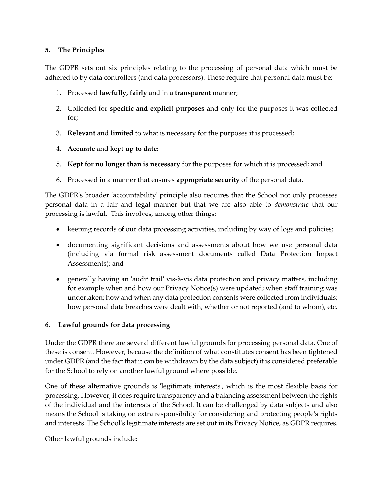### **5. The Principles**

The GDPR sets out six principles relating to the processing of personal data which must be adhered to by data controllers (and data processors). These require that personal data must be:

- 1. Processed **lawfully, fairly** and in a **transparent** manner;
- 2. Collected for **specific and explicit purposes** and only for the purposes it was collected for;
- 3. **Relevant** and **limited** to what is necessary for the purposes it is processed;
- 4. **Accurate** and kept **up to date**;
- 5. **Kept for no longer than is necessary** for the purposes for which it is processed; and
- 6. Processed in a manner that ensures **appropriate security** of the personal data.

The GDPR's broader 'accountability' principle also requires that the School not only processes personal data in a fair and legal manner but that we are also able to *demonstrate* that our processing is lawful. This involves, among other things:

- keeping records of our data processing activities, including by way of logs and policies;
- documenting significant decisions and assessments about how we use personal data (including via formal risk assessment documents called Data Protection Impact Assessments); and
- generally having an 'audit trail' vis-à-vis data protection and privacy matters, including for example when and how our Privacy Notice(s) were updated; when staff training was undertaken; how and when any data protection consents were collected from individuals; how personal data breaches were dealt with, whether or not reported (and to whom), etc.

### **6. Lawful grounds for data processing**

Under the GDPR there are several different lawful grounds for processing personal data. One of these is consent. However, because the definition of what constitutes consent has been tightened under GDPR (and the fact that it can be withdrawn by the data subject) it is considered preferable for the School to rely on another lawful ground where possible.

One of these alternative grounds is 'legitimate interests', which is the most flexible basis for processing. However, it does require transparency and a balancing assessment between the rights of the individual and the interests of the School. It can be challenged by data subjects and also means the School is taking on extra responsibility for considering and protecting people's rights and interests. The School's legitimate interests are set out in its Privacy Notice, as GDPR requires.

Other lawful grounds include: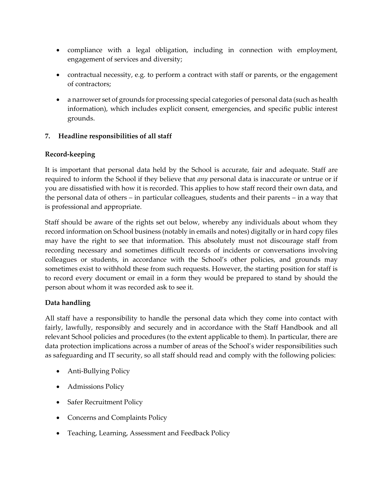- compliance with a legal obligation, including in connection with employment, engagement of services and diversity;
- contractual necessity, e.g. to perform a contract with staff or parents, or the engagement of contractors;
- a narrower set of grounds for processing special categories of personal data (such as health information), which includes explicit consent, emergencies, and specific public interest grounds.

## **7. Headline responsibilities of all staff**

### **Record-keeping**

It is important that personal data held by the School is accurate, fair and adequate. Staff are required to inform the School if they believe that *any* personal data is inaccurate or untrue or if you are dissatisfied with how it is recorded. This applies to how staff record their own data, and the personal data of others – in particular colleagues, students and their parents – in a way that is professional and appropriate.

Staff should be aware of the rights set out below, whereby any individuals about whom they record information on School business (notably in emails and notes) digitally or in hard copy files may have the right to see that information. This absolutely must not discourage staff from recording necessary and sometimes difficult records of incidents or conversations involving colleagues or students, in accordance with the School's other policies, and grounds may sometimes exist to withhold these from such requests. However, the starting position for staff is to record every document or email in a form they would be prepared to stand by should the person about whom it was recorded ask to see it.

## **Data handling**

All staff have a responsibility to handle the personal data which they come into contact with fairly, lawfully, responsibly and securely and in accordance with the Staff Handbook and all relevant School policies and procedures (to the extent applicable to them). In particular, there are data protection implications across a number of areas of the School's wider responsibilities such as safeguarding and IT security, so all staff should read and comply with the following policies:

- Anti-Bullying Policy
- Admissions Policy
- Safer Recruitment Policy
- Concerns and Complaints Policy
- Teaching, Learning, Assessment and Feedback Policy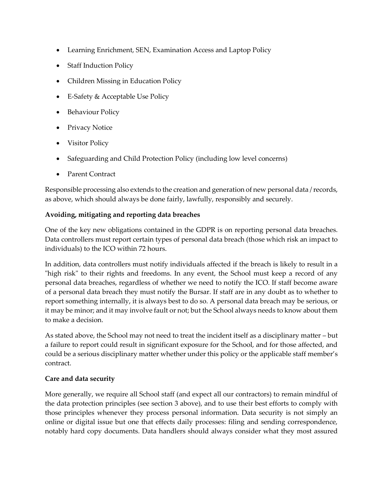- Learning Enrichment, SEN, Examination Access and Laptop Policy
- Staff Induction Policy
- Children Missing in Education Policy
- E-Safety & Acceptable Use Policy
- Behaviour Policy
- **Privacy Notice**
- Visitor Policy
- Safeguarding and Child Protection Policy (including low level concerns)
- Parent Contract

Responsible processing also extends to the creation and generation of new personal data / records, as above, which should always be done fairly, lawfully, responsibly and securely.

### **Avoiding, mitigating and reporting data breaches**

One of the key new obligations contained in the GDPR is on reporting personal data breaches. Data controllers must report certain types of personal data breach (those which risk an impact to individuals) to the ICO within 72 hours.

In addition, data controllers must notify individuals affected if the breach is likely to result in a "high risk" to their rights and freedoms. In any event, the School must keep a record of any personal data breaches, regardless of whether we need to notify the ICO. If staff become aware of a personal data breach they must notify the Bursar. If staff are in any doubt as to whether to report something internally, it is always best to do so. A personal data breach may be serious, or it may be minor; and it may involve fault or not; but the School always needs to know about them to make a decision.

As stated above, the School may not need to treat the incident itself as a disciplinary matter – but a failure to report could result in significant exposure for the School, and for those affected, and could be a serious disciplinary matter whether under this policy or the applicable staff member's contract.

### **Care and data security**

More generally, we require all School staff (and expect all our contractors) to remain mindful of the data protection principles (see section 3 above), and to use their best efforts to comply with those principles whenever they process personal information. Data security is not simply an online or digital issue but one that effects daily processes: filing and sending correspondence, notably hard copy documents. Data handlers should always consider what they most assured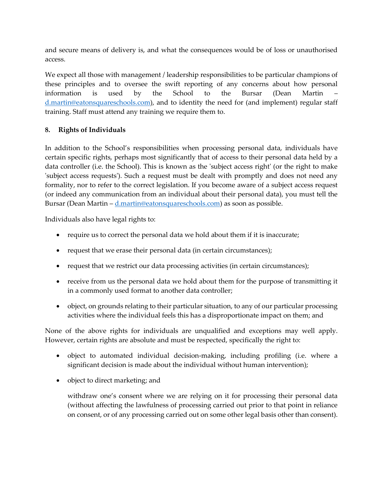and secure means of delivery is, and what the consequences would be of loss or unauthorised access.

We expect all those with management / leadership responsibilities to be particular champions of these principles and to oversee the swift reporting of any concerns about how personal information is used by the School to the Bursar (Dean Martin – [d.martin@eatonsquareschools.com\)](mailto:d.martin@eatonsquareschools.com), and to identity the need for (and implement) regular staff training. Staff must attend any training we require them to.

### **8. Rights of Individuals**

In addition to the School's responsibilities when processing personal data, individuals have certain specific rights, perhaps most significantly that of access to their personal data held by a data controller (i.e. the School). This is known as the 'subject access right' (or the right to make 'subject access requests'). Such a request must be dealt with promptly and does not need any formality, nor to refer to the correct legislation. If you become aware of a subject access request (or indeed any communication from an individual about their personal data), you must tell the Bursar (Dean Martin –  $d$  martin@eatonsquareschools.com) as soon as possible.

Individuals also have legal rights to:

- require us to correct the personal data we hold about them if it is inaccurate;
- request that we erase their personal data (in certain circumstances);
- request that we restrict our data processing activities (in certain circumstances);
- receive from us the personal data we hold about them for the purpose of transmitting it in a commonly used format to another data controller;
- object, on grounds relating to their particular situation, to any of our particular processing activities where the individual feels this has a disproportionate impact on them; and

None of the above rights for individuals are unqualified and exceptions may well apply. However, certain rights are absolute and must be respected, specifically the right to:

- object to automated individual decision-making, including profiling (i.e. where a significant decision is made about the individual without human intervention);
- object to direct marketing; and

withdraw one's consent where we are relying on it for processing their personal data (without affecting the lawfulness of processing carried out prior to that point in reliance on consent, or of any processing carried out on some other legal basis other than consent).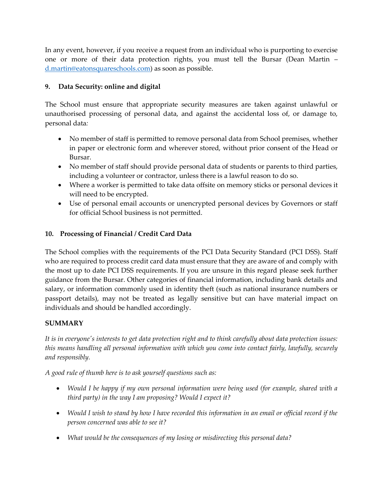In any event, however, if you receive a request from an individual who is purporting to exercise one or more of their data protection rights, you must tell the Bursar (Dean Martin – [d.martin@eatonsquareschools.com\)](mailto:d.martin@eatonsquareschools.com) as soon as possible.

## **9. Data Security: online and digital**

The School must ensure that appropriate security measures are taken against unlawful or unauthorised processing of personal data, and against the accidental loss of, or damage to, personal data*:*

- No member of staff is permitted to remove personal data from School premises, whether in paper or electronic form and wherever stored, without prior consent of the Head or Bursar.
- No member of staff should provide personal data of students or parents to third parties, including a volunteer or contractor, unless there is a lawful reason to do so.
- Where a worker is permitted to take data offsite on memory sticks or personal devices it will need to be encrypted.
- Use of personal email accounts or unencrypted personal devices by Governors or staff for official School business is not permitted.

### **10. Processing of Financial / Credit Card Data**

The School complies with the requirements of the PCI Data Security Standard (PCI DSS). Staff who are required to process credit card data must ensure that they are aware of and comply with the most up to date PCI DSS requirements. If you are unsure in this regard please seek further guidance from the Bursar. Other categories of financial information, including bank details and salary, or information commonly used in identity theft (such as national insurance numbers or passport details), may not be treated as legally sensitive but can have material impact on individuals and should be handled accordingly.

### **SUMMARY**

*It is in everyone's interests to get data protection right and to think carefully about data protection issues: this means handling all personal information with which you come into contact fairly, lawfully, securely and responsibly.*

*A good rule of thumb here is to ask yourself questions such as:*

- *Would I be happy if my own personal information were being used (for example, shared with a third party) in the way I am proposing? Would I expect it?*
- *Would I wish to stand by how I have recorded this information in an email or official record if the person concerned was able to see it?*
- *What would be the consequences of my losing or misdirecting this personal data?*